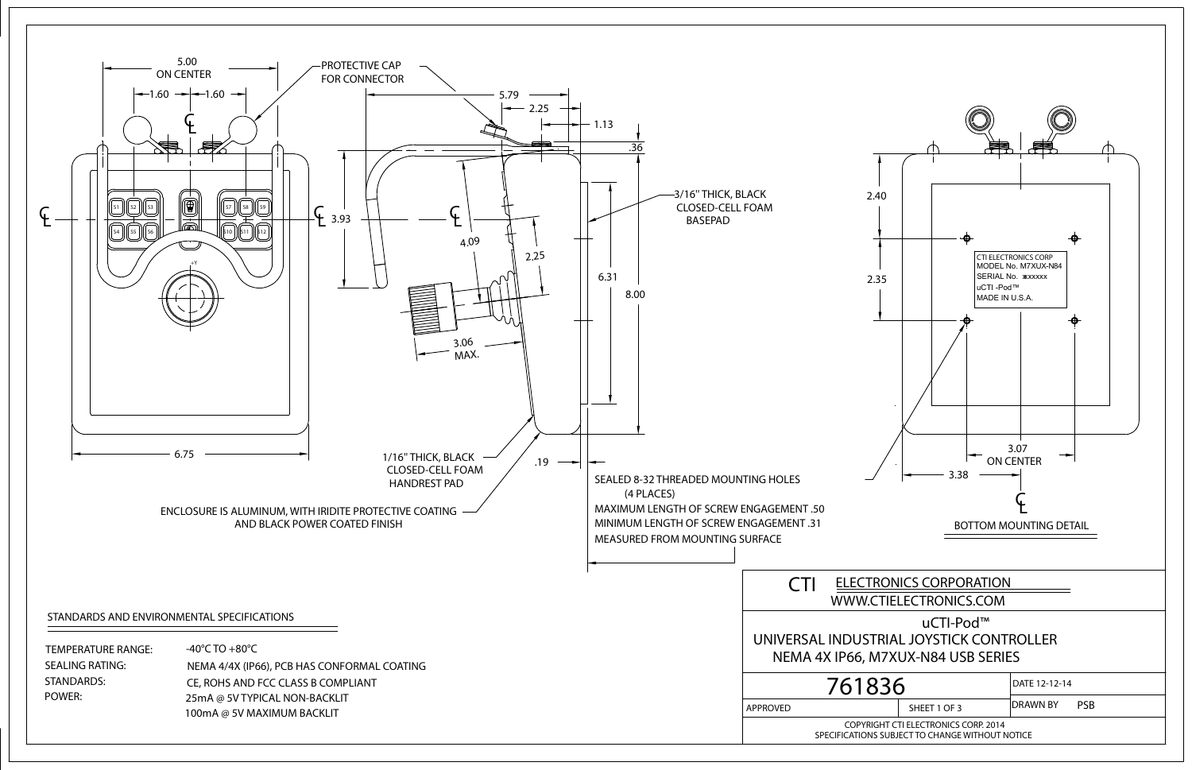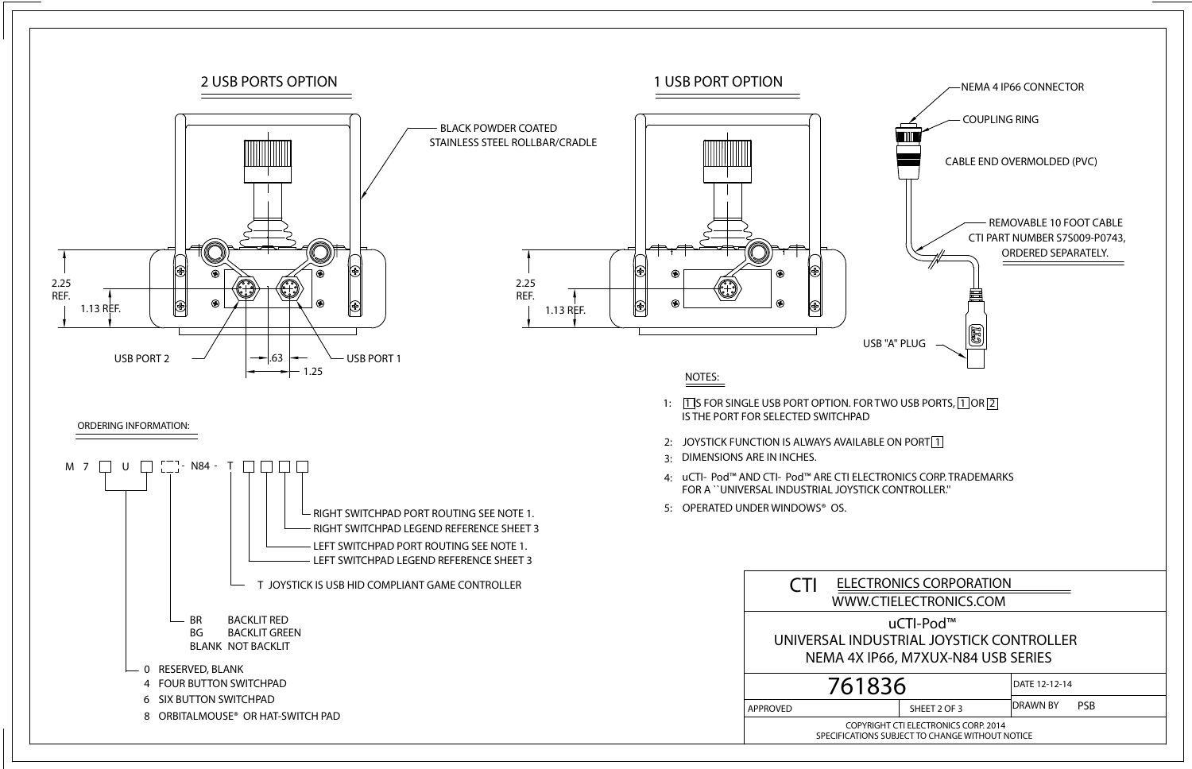